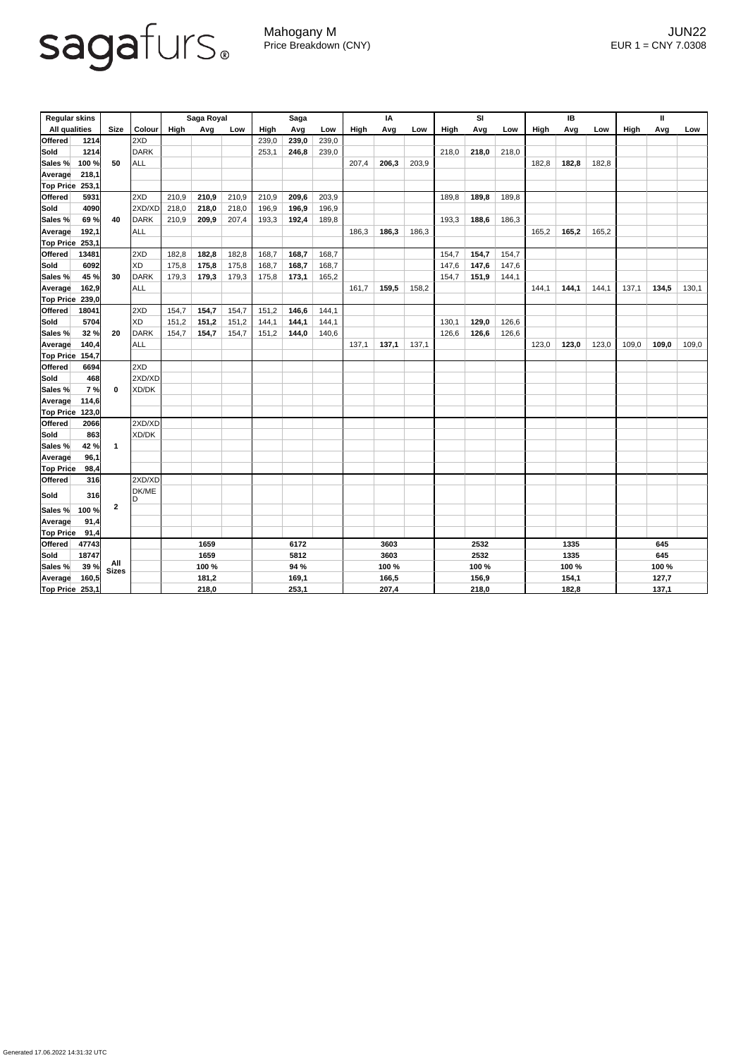## sagafurs.

Mahogany M JUN22 Price Breakdown (CNY) EUR 1 = CNY 7.0308

| <b>Regular skins</b>    |       |                         |               | Saga Royal |       |       | <b>Saga</b> |       |       | IA    |       |       | <b>SI</b> |       |       | IB          |       |       | $\mathbf{I}$ |       |       |
|-------------------------|-------|-------------------------|---------------|------------|-------|-------|-------------|-------|-------|-------|-------|-------|-----------|-------|-------|-------------|-------|-------|--------------|-------|-------|
| <b>All qualities</b>    |       | <b>Size</b>             | <b>Colour</b> | High       | Avg   | Low   | <b>High</b> | Avg   | Low   | High  | Avg   | Low   | High      | Avg   | Low   | <b>High</b> | Avg   | Low   | <b>High</b>  | Avg   | Low   |
| <b>Offered</b>          | 1214  |                         | 2XD           |            |       |       | 239,0       | 239,0 | 239,0 |       |       |       |           |       |       |             |       |       |              |       |       |
| Sold                    | 1214  |                         | <b>DARK</b>   |            |       |       | 253,1       | 246,8 | 239,0 |       |       |       | 218,0     | 218,0 | 218,0 |             |       |       |              |       |       |
| Sales %                 | 100 % | 50                      | <b>ALL</b>    |            |       |       |             |       |       | 207,4 | 206,3 | 203,9 |           |       |       | 182,8       | 182,8 | 182,8 |              |       |       |
| Average                 | 218,1 |                         |               |            |       |       |             |       |       |       |       |       |           |       |       |             |       |       |              |       |       |
| <b>Top Price</b>        | 253,1 |                         |               |            |       |       |             |       |       |       |       |       |           |       |       |             |       |       |              |       |       |
| <b>Offered</b>          | 5931  |                         | 2XD           | 210,9      | 210,9 | 210,9 | 210,9       | 209,6 | 203,9 |       |       |       | 189,8     | 189,8 | 189,8 |             |       |       |              |       |       |
| Sold                    | 4090  |                         | 2XD/XD        | 218,0      | 218,0 | 218,0 | 196,9       | 196,9 | 196,9 |       |       |       |           |       |       |             |       |       |              |       |       |
| Sales %                 | 69%   | 40                      | <b>DARK</b>   | 210,9      | 209,9 | 207,4 | 193,3       | 192,4 | 189,8 |       |       |       | 193,3     | 188,6 | 186,3 |             |       |       |              |       |       |
| <b>Average</b>          | 192,1 |                         | ALL           |            |       |       |             |       |       | 186,3 | 186,3 | 186,3 |           |       |       | 165,2       | 165,2 | 165,2 |              |       |       |
| <b>Top Price</b>        | 253,1 |                         |               |            |       |       |             |       |       |       |       |       |           |       |       |             |       |       |              |       |       |
| <b>Offered</b>          | 13481 |                         | 2XD           | 182,8      | 182,8 | 182,8 | 168,7       | 168,7 | 168,7 |       |       |       | 154,7     | 154,7 | 154,7 |             |       |       |              |       |       |
| <b>Sold</b>             | 6092  |                         | XD            | 175,8      | 175,8 | 175,8 | 168,7       | 168,7 | 168,7 |       |       |       | 147,6     | 147,6 | 147,6 |             |       |       |              |       |       |
| Sales %                 | 45 %  | 30                      | <b>DARK</b>   | 179,3      | 179,3 | 179,3 | 175,8       | 173,1 | 165,2 |       |       |       | 154,7     | 151,9 | 144,1 |             |       |       |              |       |       |
| Average                 | 162,9 |                         | <b>ALL</b>    |            |       |       |             |       |       | 161,7 | 159,5 | 158,2 |           |       |       | 144,1       | 144,1 | 144,1 | 137,1        | 134,5 | 130,1 |
| <b>Top Price</b>        | 239,0 |                         |               |            |       |       |             |       |       |       |       |       |           |       |       |             |       |       |              |       |       |
| <b>Offered</b>          | 18041 |                         | 2XD           | 154,7      | 154,7 | 154,7 | 151,2       | 146,6 | 144,1 |       |       |       |           |       |       |             |       |       |              |       |       |
| Sold                    | 5704  |                         | <b>XD</b>     | 151,2      | 151,2 | 151,2 | 144,1       | 144,1 | 144,1 |       |       |       | 130,1     | 129,0 | 126,6 |             |       |       |              |       |       |
| Sales %                 | 32 %  | 20                      | <b>DARK</b>   | 154,7      | 154,7 | 154,7 | 151,2       | 144,0 | 140,6 |       |       |       | 126,6     | 126,6 | 126,6 |             |       |       |              |       |       |
| <b>Average</b>          | 140,4 |                         | <b>ALL</b>    |            |       |       |             |       |       | 137,1 | 137,1 | 137,1 |           |       |       | 123,0       | 123,0 | 123,0 | 109,0        | 109,0 | 109,0 |
| <b>Top Price</b>        | 154,7 |                         |               |            |       |       |             |       |       |       |       |       |           |       |       |             |       |       |              |       |       |
| <b>Offered</b>          | 6694  |                         | 2XD           |            |       |       |             |       |       |       |       |       |           |       |       |             |       |       |              |       |       |
| Sold                    | 468   | $\bf{0}$                | 2XD/XD        |            |       |       |             |       |       |       |       |       |           |       |       |             |       |       |              |       |       |
| Sales %                 | 7%    |                         | XD/DK         |            |       |       |             |       |       |       |       |       |           |       |       |             |       |       |              |       |       |
| Average                 | 114,6 |                         |               |            |       |       |             |       |       |       |       |       |           |       |       |             |       |       |              |       |       |
| $\vert$ Top Price 123,0 | 2066  |                         | 2XD/XD        |            |       |       |             |       |       |       |       |       |           |       |       |             |       |       |              |       |       |
| Offered<br>Sold         | 863   |                         | XD/DK         |            |       |       |             |       |       |       |       |       |           |       |       |             |       |       |              |       |       |
| Sales %                 | 42 %  | $\overline{\mathbf{1}}$ |               |            |       |       |             |       |       |       |       |       |           |       |       |             |       |       |              |       |       |
| <b>Average</b>          | 96,1  |                         |               |            |       |       |             |       |       |       |       |       |           |       |       |             |       |       |              |       |       |
| <b>Top Price</b>        | 98,4  |                         |               |            |       |       |             |       |       |       |       |       |           |       |       |             |       |       |              |       |       |
| Offered                 | 316   |                         | 2XD/XD        |            |       |       |             |       |       |       |       |       |           |       |       |             |       |       |              |       |       |
| Sold                    | 316   |                         | DK/ME<br>ID   |            |       |       |             |       |       |       |       |       |           |       |       |             |       |       |              |       |       |
| Sales %                 | 100 % | $\boldsymbol{2}$        |               |            |       |       |             |       |       |       |       |       |           |       |       |             |       |       |              |       |       |
| <b>Average</b>          | 91,4  |                         |               |            |       |       |             |       |       |       |       |       |           |       |       |             |       |       |              |       |       |
| <b>Top Price</b>        | 91,4  |                         |               |            |       |       |             |       |       |       |       |       |           |       |       |             |       |       |              |       |       |
| Offered                 | 47743 |                         | 1659          |            | 6172  |       | 3603        |       |       | 2532  |       |       | 1335      |       |       | 645         |       |       |              |       |       |
| Sold                    | 18747 |                         |               | 1659       |       | 5812  |             | 3603  |       | 2532  |       |       | 1335      |       |       | 645         |       |       |              |       |       |
| Sales %                 | 39 %  | All<br>Sizes            |               | 100 %      |       |       | 94 %        |       |       |       | 100 % |       |           | 100 % |       |             | 100 % |       |              | 100 % |       |
| <b>Average</b>          | 160,5 |                         |               | 181,2      |       |       | 169,1       |       |       | 166,5 |       |       | 156,9     |       |       | 154,1       |       |       | 127,7        |       |       |
| Top Price $253,1$       |       |                         |               | 218,0      |       |       | 253,1       |       |       | 207,4 |       |       | 218,0     |       |       | 182,8       |       |       | 137,1        |       |       |